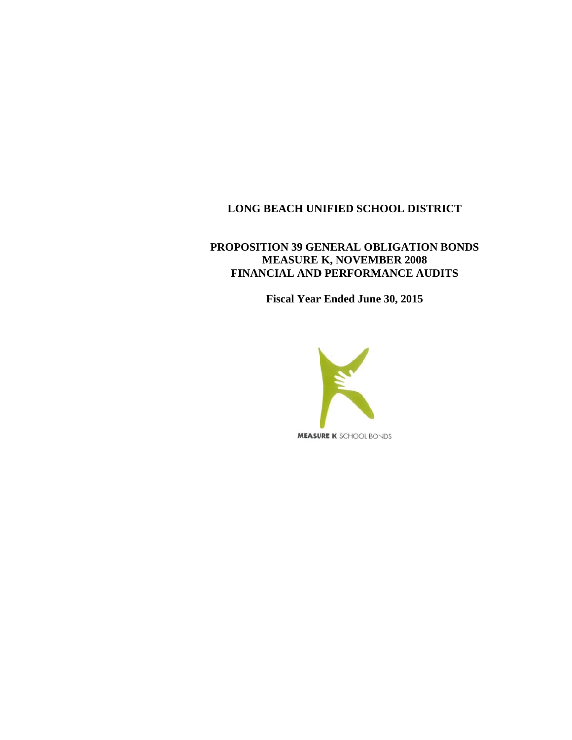# **PROPOSITION 39 GENERAL OBLIGATION BONDS MEASURE K, NOVEMBER 2008 FINANCIAL AND PERFORMANCE AUDITS**

**Fiscal Year Ended June 30, 2015** 

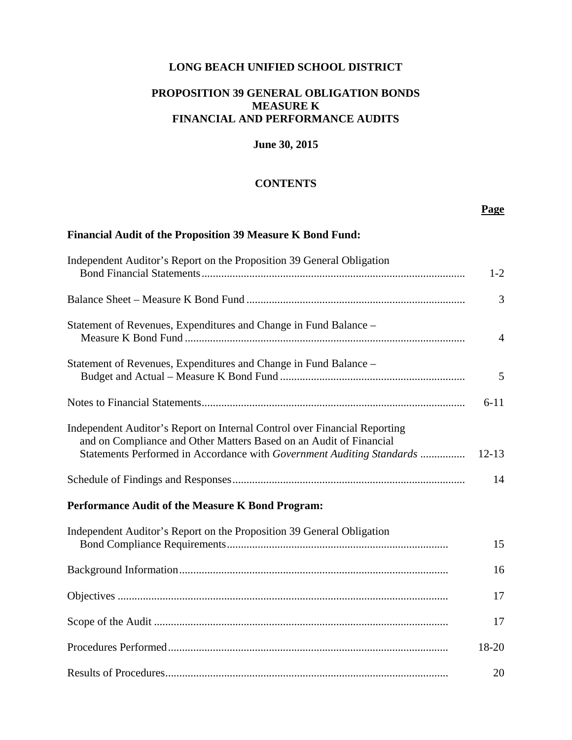## **PROPOSITION 39 GENERAL OBLIGATION BONDS MEASURE K FINANCIAL AND PERFORMANCE AUDITS**

## **June 30, 2015**

#### **CONTENTS**

## **Page**

# **Financial Audit of the Proposition 39 Measure K Bond Fund:**

| Independent Auditor's Report on the Proposition 39 General Obligation                                                                                                                                                    | $1 - 2$        |
|--------------------------------------------------------------------------------------------------------------------------------------------------------------------------------------------------------------------------|----------------|
|                                                                                                                                                                                                                          | 3              |
| Statement of Revenues, Expenditures and Change in Fund Balance –                                                                                                                                                         | $\overline{4}$ |
| Statement of Revenues, Expenditures and Change in Fund Balance -                                                                                                                                                         | 5              |
|                                                                                                                                                                                                                          | $6 - 11$       |
| Independent Auditor's Report on Internal Control over Financial Reporting<br>and on Compliance and Other Matters Based on an Audit of Financial<br>Statements Performed in Accordance with Government Auditing Standards | $12 - 13$      |
|                                                                                                                                                                                                                          | 14             |
| Performance Audit of the Measure K Bond Program:                                                                                                                                                                         |                |
| Independent Auditor's Report on the Proposition 39 General Obligation                                                                                                                                                    | 15             |
|                                                                                                                                                                                                                          | 16             |
|                                                                                                                                                                                                                          | 17             |
|                                                                                                                                                                                                                          | 17             |
|                                                                                                                                                                                                                          | 18-20          |
|                                                                                                                                                                                                                          | 20             |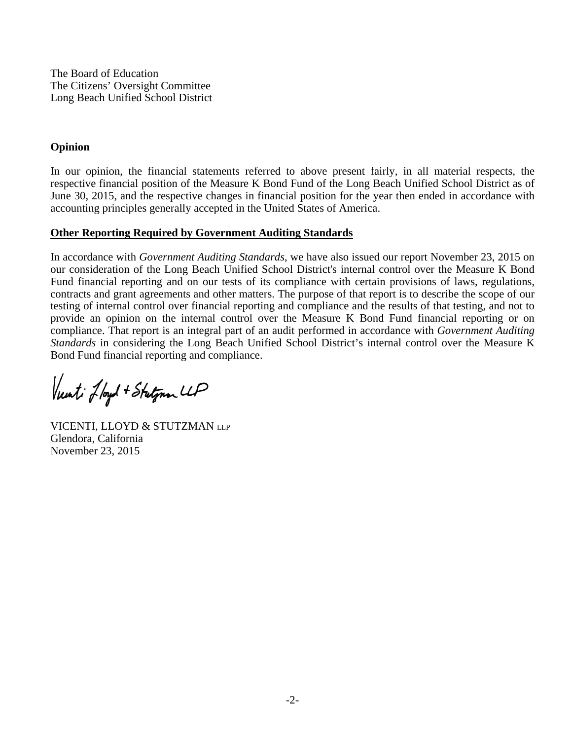The Board of Education The Citizens' Oversight Committee Long Beach Unified School District

# **Opinion**

In our opinion, the financial statements referred to above present fairly, in all material respects, the respective financial position of the Measure K Bond Fund of the Long Beach Unified School District as of June 30, 2015, and the respective changes in financial position for the year then ended in accordance with accounting principles generally accepted in the United States of America.

# **Other Reporting Required by Government Auditing Standards**

In accordance with *Government Auditing Standards*, we have also issued our report November 23, 2015 on our consideration of the Long Beach Unified School District's internal control over the Measure K Bond Fund financial reporting and on our tests of its compliance with certain provisions of laws, regulations, contracts and grant agreements and other matters. The purpose of that report is to describe the scope of our testing of internal control over financial reporting and compliance and the results of that testing, and not to provide an opinion on the internal control over the Measure K Bond Fund financial reporting or on compliance. That report is an integral part of an audit performed in accordance with *Government Auditing Standards* in considering the Long Beach Unified School District's internal control over the Measure K Bond Fund financial reporting and compliance.

Vunti Jloyd + Stutynan LLP

VICENTI, LLOYD & STUTZMAN LLP Glendora, California November 23, 2015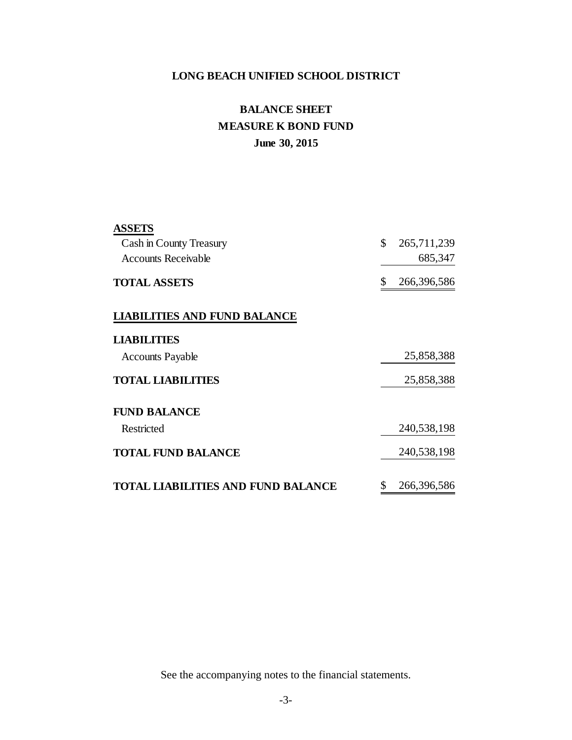# **June 30, 2015 BALANCE SHEET MEASURE K BOND FUND**

| <b>ASSETS</b>                             |                   |
|-------------------------------------------|-------------------|
| Cash in County Treasury                   | \$<br>265,711,239 |
| <b>Accounts Receivable</b>                | 685,347           |
| <b>TOTAL ASSETS</b>                       | \$<br>266,396,586 |
| <b>LIABILITIES AND FUND BALANCE</b>       |                   |
| <b>LIABILITIES</b>                        |                   |
| <b>Accounts Payable</b>                   | 25,858,388        |
| <b>TOTAL LIABILITIES</b>                  | 25,858,388        |
| <b>FUND BALANCE</b>                       |                   |
| Restricted                                | 240,538,198       |
| <b>TOTAL FUND BALANCE</b>                 | 240,538,198       |
| <b>TOTAL LIABILITIES AND FUND BALANCE</b> | \$<br>266,396,586 |

See the accompanying notes to the financial statements.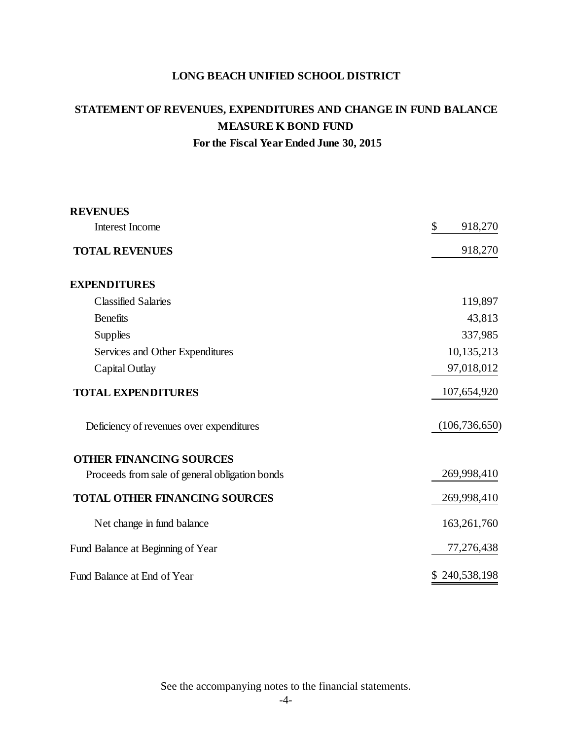# **STATEMENT OF REVENUES, EXPENDITURES AND CHANGE IN FUND BALANCE MEASURE K BOND FUND For the Fiscal Year Ended June 30, 2015**

| <b>REVENUES</b>                                |                 |
|------------------------------------------------|-----------------|
| <b>Interest Income</b>                         | \$<br>918,270   |
| <b>TOTAL REVENUES</b>                          | 918,270         |
| <b>EXPENDITURES</b>                            |                 |
| <b>Classified Salaries</b>                     | 119,897         |
| <b>Benefits</b>                                | 43,813          |
| <b>Supplies</b>                                | 337,985         |
| Services and Other Expenditures                | 10,135,213      |
| Capital Outlay                                 | 97,018,012      |
| <b>TOTAL EXPENDITURES</b>                      | 107,654,920     |
| Deficiency of revenues over expenditures       | (106, 736, 650) |
| <b>OTHER FINANCING SOURCES</b>                 |                 |
| Proceeds from sale of general obligation bonds | 269,998,410     |
| <b>TOTAL OTHER FINANCING SOURCES</b>           | 269,998,410     |
| Net change in fund balance                     | 163,261,760     |
| Fund Balance at Beginning of Year              | 77,276,438      |
| Fund Balance at End of Year                    | \$240,538,198   |

See the accompanying notes to the financial statements.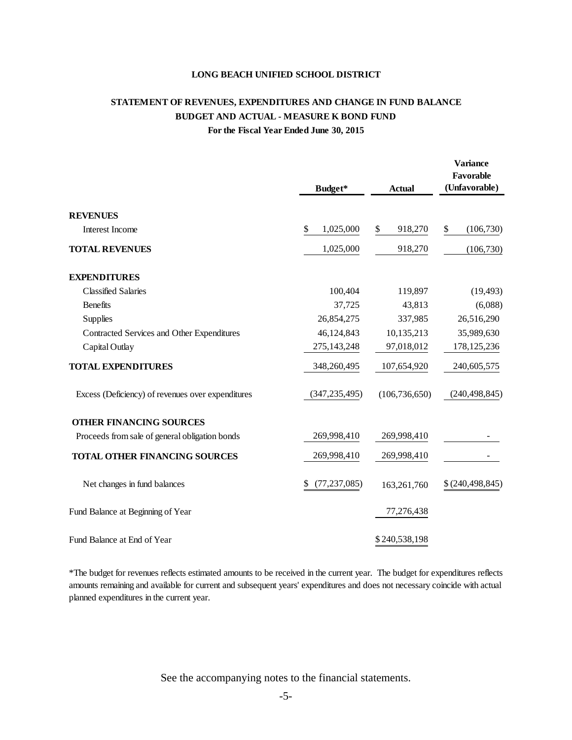# **STATEMENT OF REVENUES, EXPENDITURES AND CHANGE IN FUND BALANCE BUDGET AND ACTUAL - MEASURE K BOND FUND For the Fiscal Year Ended June 30, 2015**

|                                                   | Budget*              | <b>Actual</b>   | <b>Variance</b><br>Favorable<br>(Unfavorable) |
|---------------------------------------------------|----------------------|-----------------|-----------------------------------------------|
| <b>REVENUES</b>                                   |                      |                 |                                               |
| Interest Income                                   | \$<br>1,025,000      | 918,270<br>\$   | \$<br>(106,730)                               |
| <b>TOTAL REVENUES</b>                             | 1,025,000            | 918,270         | (106,730)                                     |
| <b>EXPENDITURES</b>                               |                      |                 |                                               |
| <b>Classified Salaries</b>                        | 100,404              | 119,897         | (19, 493)                                     |
| <b>Benefits</b>                                   | 37,725               | 43,813          | (6,088)                                       |
| Supplies                                          | 26,854,275           | 337,985         | 26,516,290                                    |
| Contracted Services and Other Expenditures        | 46,124,843           | 10,135,213      | 35,989,630                                    |
| Capital Outlay                                    | 275, 143, 248        | 97,018,012      | 178, 125, 236                                 |
| <b>TOTAL EXPENDITURES</b>                         | 348,260,495          | 107,654,920     | 240,605,575                                   |
| Excess (Deficiency) of revenues over expenditures | (347, 235, 495)      | (106, 736, 650) | (240, 498, 845)                               |
| <b>OTHER FINANCING SOURCES</b>                    |                      |                 |                                               |
| Proceeds from sale of general obligation bonds    | 269,998,410          | 269,998,410     |                                               |
| TOTAL OTHER FINANCING SOURCES                     | 269,998,410          | 269,998,410     |                                               |
| Net changes in fund balances                      | (77, 237, 085)<br>\$ | 163,261,760     | \$(240, 498, 845)                             |
| Fund Balance at Beginning of Year                 |                      | 77,276,438      |                                               |
| Fund Balance at End of Year                       |                      | \$240,538,198   |                                               |

\*The budget for revenues reflects estimated amounts to be received in the current year. The budget for expenditures reflects amounts remaining and available for current and subsequent years' expenditures and does not necessary coincide with actual planned expenditures in the current year.

See the accompanying notes to the financial statements.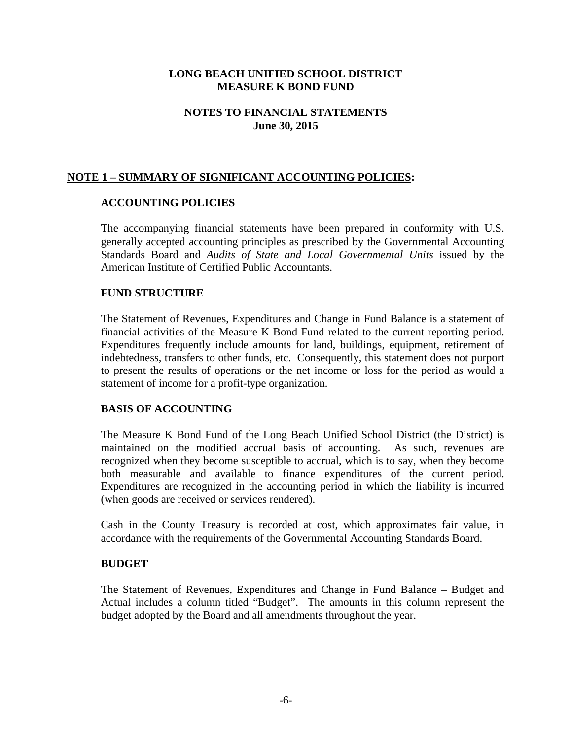## **NOTES TO FINANCIAL STATEMENTS June 30, 2015**

# **NOTE 1 – SUMMARY OF SIGNIFICANT ACCOUNTING POLICIES:**

#### **ACCOUNTING POLICIES**

The accompanying financial statements have been prepared in conformity with U.S. generally accepted accounting principles as prescribed by the Governmental Accounting Standards Board and *Audits of State and Local Governmental Units* issued by the American Institute of Certified Public Accountants.

#### **FUND STRUCTURE**

The Statement of Revenues, Expenditures and Change in Fund Balance is a statement of financial activities of the Measure K Bond Fund related to the current reporting period. Expenditures frequently include amounts for land, buildings, equipment, retirement of indebtedness, transfers to other funds, etc. Consequently, this statement does not purport to present the results of operations or the net income or loss for the period as would a statement of income for a profit-type organization.

#### **BASIS OF ACCOUNTING**

The Measure K Bond Fund of the Long Beach Unified School District (the District) is maintained on the modified accrual basis of accounting. As such, revenues are recognized when they become susceptible to accrual, which is to say, when they become both measurable and available to finance expenditures of the current period. Expenditures are recognized in the accounting period in which the liability is incurred (when goods are received or services rendered).

Cash in the County Treasury is recorded at cost, which approximates fair value, in accordance with the requirements of the Governmental Accounting Standards Board.

#### **BUDGET**

The Statement of Revenues, Expenditures and Change in Fund Balance – Budget and Actual includes a column titled "Budget". The amounts in this column represent the budget adopted by the Board and all amendments throughout the year.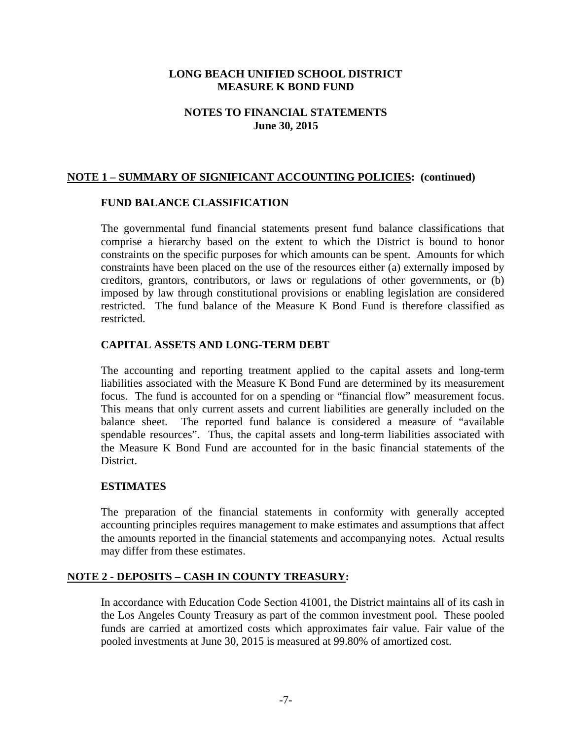## **NOTES TO FINANCIAL STATEMENTS June 30, 2015**

## **NOTE 1 – SUMMARY OF SIGNIFICANT ACCOUNTING POLICIES: (continued)**

#### **FUND BALANCE CLASSIFICATION**

The governmental fund financial statements present fund balance classifications that comprise a hierarchy based on the extent to which the District is bound to honor constraints on the specific purposes for which amounts can be spent. Amounts for which constraints have been placed on the use of the resources either (a) externally imposed by creditors, grantors, contributors, or laws or regulations of other governments, or (b) imposed by law through constitutional provisions or enabling legislation are considered restricted. The fund balance of the Measure K Bond Fund is therefore classified as restricted.

### **CAPITAL ASSETS AND LONG-TERM DEBT**

The accounting and reporting treatment applied to the capital assets and long-term liabilities associated with the Measure K Bond Fund are determined by its measurement focus. The fund is accounted for on a spending or "financial flow" measurement focus. This means that only current assets and current liabilities are generally included on the balance sheet. The reported fund balance is considered a measure of "available spendable resources". Thus, the capital assets and long-term liabilities associated with the Measure K Bond Fund are accounted for in the basic financial statements of the District.

### **ESTIMATES**

The preparation of the financial statements in conformity with generally accepted accounting principles requires management to make estimates and assumptions that affect the amounts reported in the financial statements and accompanying notes. Actual results may differ from these estimates.

### **NOTE 2 - DEPOSITS – CASH IN COUNTY TREASURY:**

In accordance with Education Code Section 41001, the District maintains all of its cash in the Los Angeles County Treasury as part of the common investment pool. These pooled funds are carried at amortized costs which approximates fair value. Fair value of the pooled investments at June 30, 2015 is measured at 99.80% of amortized cost.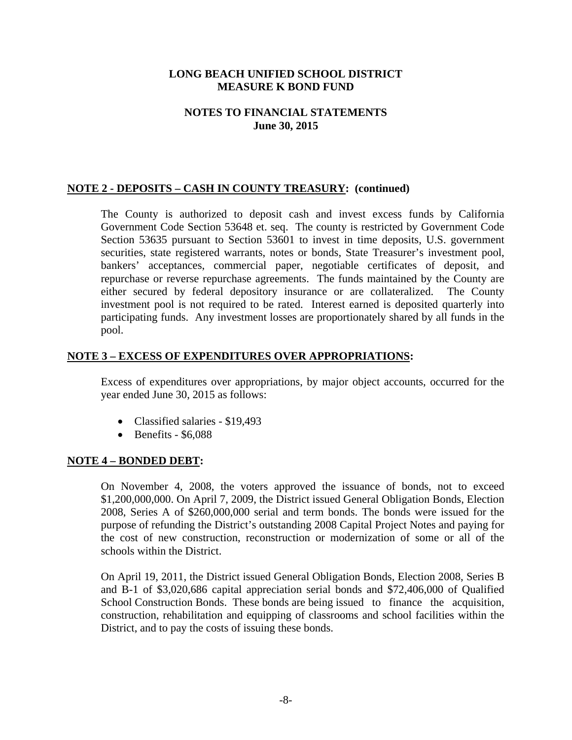## **NOTES TO FINANCIAL STATEMENTS June 30, 2015**

## **NOTE 2 - DEPOSITS – CASH IN COUNTY TREASURY: (continued)**

The County is authorized to deposit cash and invest excess funds by California Government Code Section 53648 et. seq. The county is restricted by Government Code Section 53635 pursuant to Section 53601 to invest in time deposits, U.S. government securities, state registered warrants, notes or bonds, State Treasurer's investment pool, bankers' acceptances, commercial paper, negotiable certificates of deposit, and repurchase or reverse repurchase agreements. The funds maintained by the County are either secured by federal depository insurance or are collateralized. The County investment pool is not required to be rated. Interest earned is deposited quarterly into participating funds. Any investment losses are proportionately shared by all funds in the pool.

### **NOTE 3 – EXCESS OF EXPENDITURES OVER APPROPRIATIONS:**

Excess of expenditures over appropriations, by major object accounts, occurred for the year ended June 30, 2015 as follows:

- Classified salaries \$19,493
- $\bullet$  Benefits \$6,088

#### **NOTE 4 – BONDED DEBT:**

On November 4, 2008, the voters approved the issuance of bonds, not to exceed \$1,200,000,000. On April 7, 2009, the District issued General Obligation Bonds, Election 2008, Series A of \$260,000,000 serial and term bonds. The bonds were issued for the purpose of refunding the District's outstanding 2008 Capital Project Notes and paying for the cost of new construction, reconstruction or modernization of some or all of the schools within the District.

On April 19, 2011, the District issued General Obligation Bonds, Election 2008, Series B and B-1 of \$3,020,686 capital appreciation serial bonds and \$72,406,000 of Qualified School Construction Bonds. These bonds are being issued to finance the acquisition, construction, rehabilitation and equipping of classrooms and school facilities within the District, and to pay the costs of issuing these bonds.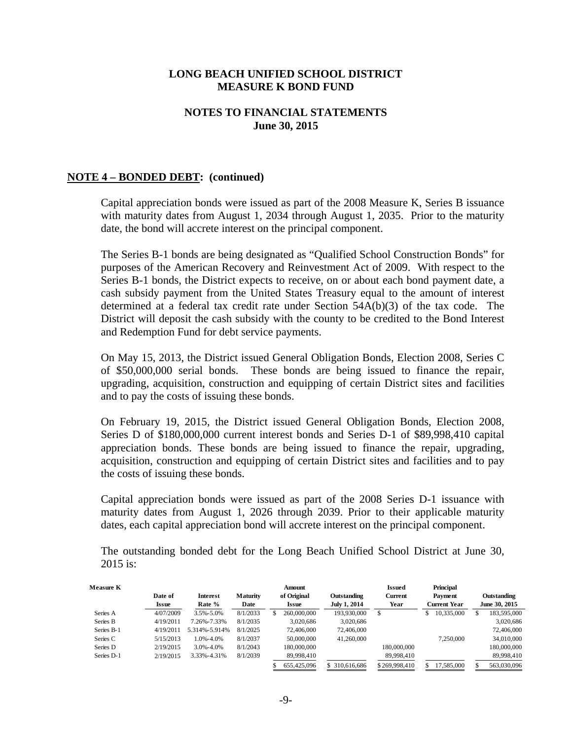### **NOTES TO FINANCIAL STATEMENTS June 30, 2015**

#### **NOTE 4 – BONDED DEBT: (continued)**

Capital appreciation bonds were issued as part of the 2008 Measure K, Series B issuance with maturity dates from August 1, 2034 through August 1, 2035. Prior to the maturity date, the bond will accrete interest on the principal component.

The Series B-1 bonds are being designated as "Qualified School Construction Bonds" for purposes of the American Recovery and Reinvestment Act of 2009. With respect to the Series B-1 bonds, the District expects to receive, on or about each bond payment date, a cash subsidy payment from the United States Treasury equal to the amount of interest determined at a federal tax credit rate under Section 54A(b)(3) of the tax code. The District will deposit the cash subsidy with the county to be credited to the Bond Interest and Redemption Fund for debt service payments.

On May 15, 2013, the District issued General Obligation Bonds, Election 2008, Series C of \$50,000,000 serial bonds. These bonds are being issued to finance the repair, upgrading, acquisition, construction and equipping of certain District sites and facilities and to pay the costs of issuing these bonds.

On February 19, 2015, the District issued General Obligation Bonds, Election 2008, Series D of \$180,000,000 current interest bonds and Series D-1 of \$89,998,410 capital appreciation bonds. These bonds are being issued to finance the repair, upgrading, acquisition, construction and equipping of certain District sites and facilities and to pay the costs of issuing these bonds.

Capital appreciation bonds were issued as part of the 2008 Series D-1 issuance with maturity dates from August 1, 2026 through 2039. Prior to their applicable maturity dates, each capital appreciation bond will accrete interest on the principal component.

The outstanding bonded debt for the Long Beach Unified School District at June 30, 2015 is:

| Measure K  |              |                 |                 |   | Amount      |                     | Issued         | Principal           |   |               |
|------------|--------------|-----------------|-----------------|---|-------------|---------------------|----------------|---------------------|---|---------------|
|            | Date of      | Interest        | <b>Maturity</b> |   | of Original | Outstanding         | <b>Current</b> | Payment             |   | Outstanding   |
|            | <b>Issue</b> | Rate %          | Date            |   | Issue       | <b>July 1, 2014</b> | Year           | <b>Current Year</b> |   | June 30, 2015 |
| Series A   | 4/07/2009    | $3.5\% - 5.0\%$ | 8/1/2033        | S | 260,000,000 | 193,930,000         |                | 10,335,000          | S | 183,595,000   |
| Series B   | 4/19/2011    | 7.26%-7.33%     | 8/1/2035        |   | 3.020.686   | 3,020,686           |                |                     |   | 3,020,686     |
| Series B-1 | 4/19/2011    | 5.314%-5.914%   | 8/1/2025        |   | 72,406,000  | 72,406,000          |                |                     |   | 72,406,000    |
| Series C   | 5/15/2013    | 1.0%-4.0%       | 8/1/2037        |   | 50,000,000  | 41.260,000          |                | 7.250,000           |   | 34,010,000    |
| Series D   | 2/19/2015    | $3.0\% - 4.0\%$ | 8/1/2043        |   | 180,000,000 |                     | 180,000,000    |                     |   | 180,000,000   |
| Series D-1 | 2/19/2015    | 3.33%-4.31%     | 8/1/2039        |   | 89,998,410  |                     | 89,998,410     |                     |   | 89,998,410    |
|            |              |                 |                 |   | 655,425,096 | \$ 310,616,686      | \$269,998,410  | 17.585.000          |   | 563,030,096   |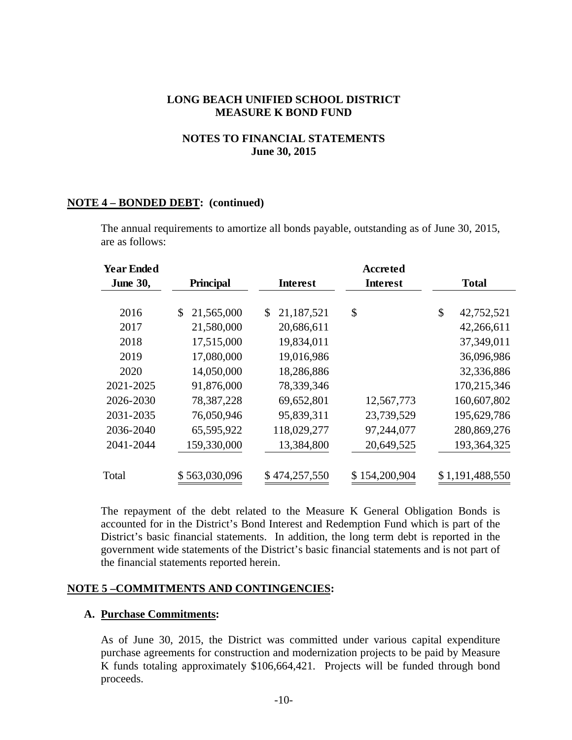## **NOTES TO FINANCIAL STATEMENTS June 30, 2015**

#### **NOTE 4 – BONDED DEBT: (continued)**

| <b>Year Ended</b><br><b>June 30,</b> | <b>Principal</b> | Interest         | Accreted<br>Interest | <b>Total</b>     |
|--------------------------------------|------------------|------------------|----------------------|------------------|
|                                      |                  |                  |                      |                  |
| 2016                                 | 21,565,000<br>\$ | 21,187,521<br>S. | \$                   | \$<br>42,752,521 |
| 2017                                 | 21,580,000       | 20,686,611       |                      | 42,266,611       |
| 2018                                 | 17,515,000       | 19,834,011       |                      | 37,349,011       |
| 2019                                 | 17,080,000       | 19,016,986       |                      | 36,096,986       |
| 2020                                 | 14,050,000       | 18,286,886       |                      | 32,336,886       |
| 2021-2025                            | 91,876,000       | 78,339,346       |                      | 170,215,346      |
| 2026-2030                            | 78, 387, 228     | 69,652,801       | 12,567,773           | 160,607,802      |
| 2031-2035                            | 76,050,946       | 95,839,311       | 23,739,529           | 195,629,786      |
| 2036-2040                            | 65,595,922       | 118,029,277      | 97,244,077           | 280,869,276      |
| 2041-2044                            | 159,330,000      | 13,384,800       | 20,649,525           | 193, 364, 325    |
| Total                                | \$563,030,096    | \$474,257,550    | \$154,200,904        | \$1,191,488,550  |

The annual requirements to amortize all bonds payable, outstanding as of June 30, 2015, are as follows:

The repayment of the debt related to the Measure K General Obligation Bonds is accounted for in the District's Bond Interest and Redemption Fund which is part of the District's basic financial statements. In addition, the long term debt is reported in the government wide statements of the District's basic financial statements and is not part of the financial statements reported herein.

### **NOTE 5 –COMMITMENTS AND CONTINGENCIES:**

#### **A. Purchase Commitments:**

As of June 30, 2015, the District was committed under various capital expenditure purchase agreements for construction and modernization projects to be paid by Measure K funds totaling approximately \$106,664,421. Projects will be funded through bond proceeds.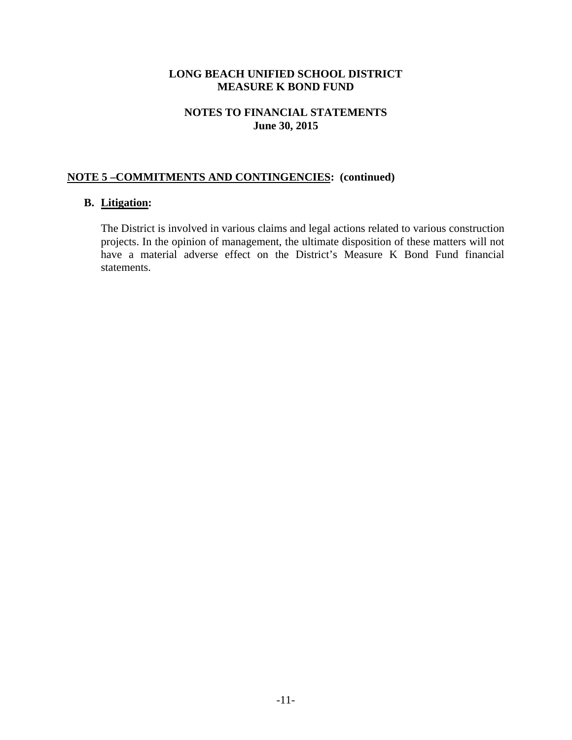## **NOTES TO FINANCIAL STATEMENTS June 30, 2015**

# **NOTE 5 –COMMITMENTS AND CONTINGENCIES: (continued)**

# **B. Litigation:**

The District is involved in various claims and legal actions related to various construction projects. In the opinion of management, the ultimate disposition of these matters will not have a material adverse effect on the District's Measure K Bond Fund financial statements.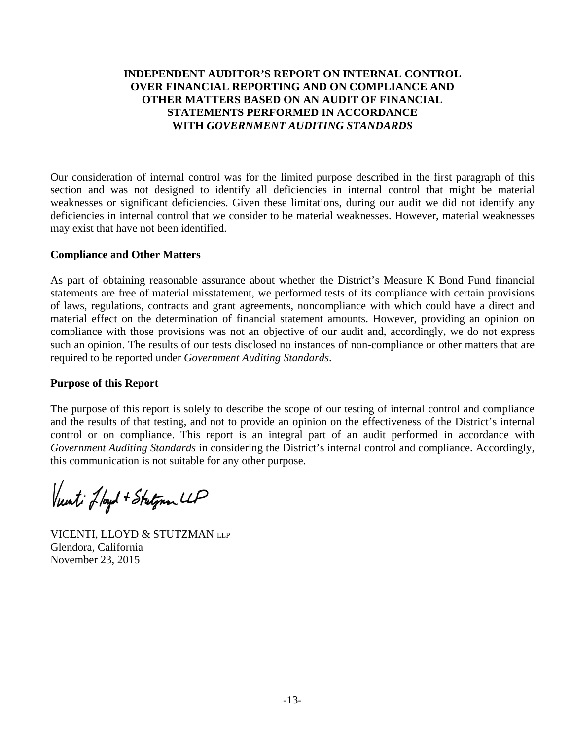# **INDEPENDENT AUDITOR'S REPORT ON INTERNAL CONTROL OVER FINANCIAL REPORTING AND ON COMPLIANCE AND OTHER MATTERS BASED ON AN AUDIT OF FINANCIAL STATEMENTS PERFORMED IN ACCORDANCE WITH** *GOVERNMENT AUDITING STANDARDS*

Our consideration of internal control was for the limited purpose described in the first paragraph of this section and was not designed to identify all deficiencies in internal control that might be material weaknesses or significant deficiencies. Given these limitations, during our audit we did not identify any deficiencies in internal control that we consider to be material weaknesses. However, material weaknesses may exist that have not been identified.

### **Compliance and Other Matters**

As part of obtaining reasonable assurance about whether the District's Measure K Bond Fund financial statements are free of material misstatement, we performed tests of its compliance with certain provisions of laws, regulations, contracts and grant agreements, noncompliance with which could have a direct and material effect on the determination of financial statement amounts. However, providing an opinion on compliance with those provisions was not an objective of our audit and, accordingly, we do not express such an opinion. The results of our tests disclosed no instances of non-compliance or other matters that are required to be reported under *Government Auditing Standards*.

# **Purpose of this Report**

The purpose of this report is solely to describe the scope of our testing of internal control and compliance and the results of that testing, and not to provide an opinion on the effectiveness of the District's internal control or on compliance. This report is an integral part of an audit performed in accordance with *Government Auditing Standards* in considering the District's internal control and compliance. Accordingly, this communication is not suitable for any other purpose.

Vunt: Lloyd + Stutymon LLP

VICENTI, LLOYD & STUTZMAN LLP Glendora, California November 23, 2015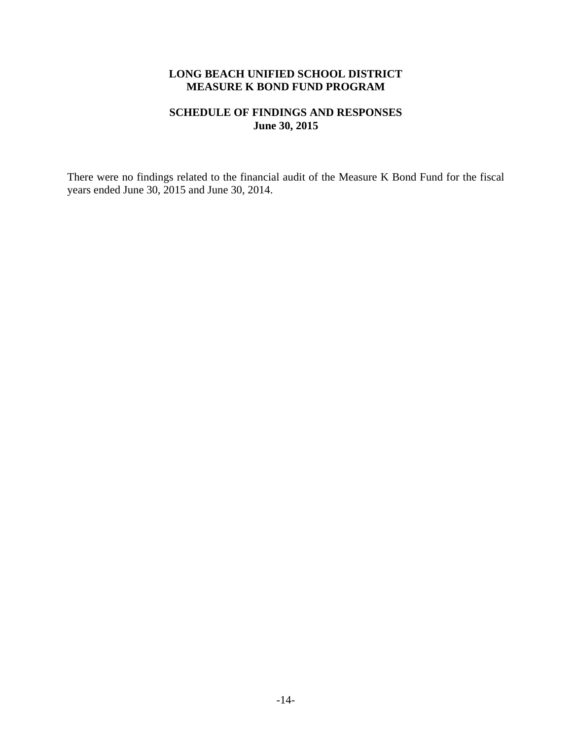#### **SCHEDULE OF FINDINGS AND RESPONSES June 30, 2015**

There were no findings related to the financial audit of the Measure K Bond Fund for the fiscal years ended June 30, 2015 and June 30, 2014.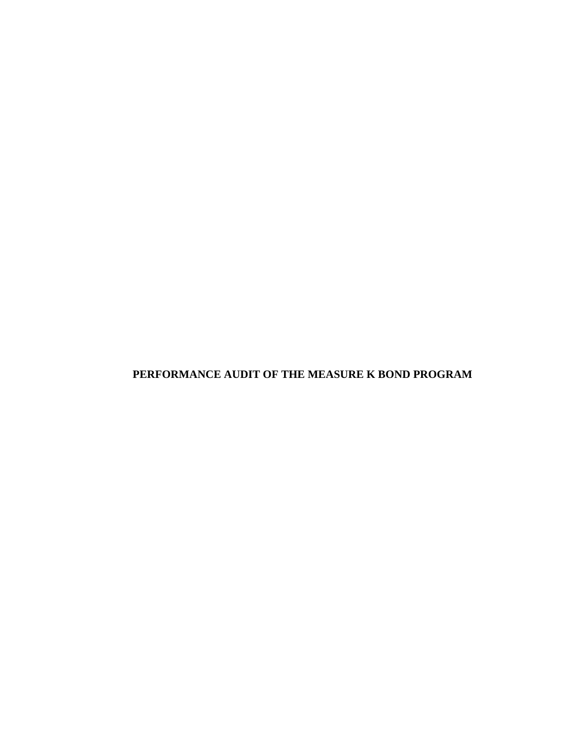**PERFORMANCE AUDIT OF THE MEASURE K BOND PROGRAM**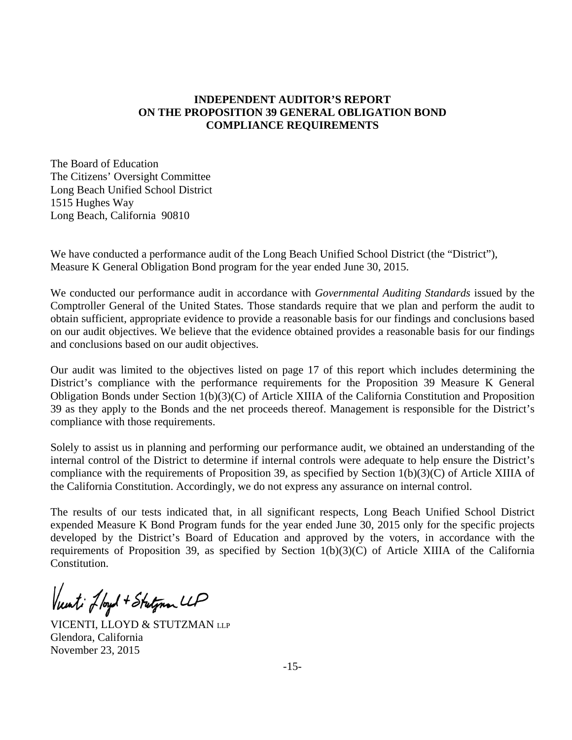## **INDEPENDENT AUDITOR'S REPORT ON THE PROPOSITION 39 GENERAL OBLIGATION BOND COMPLIANCE REQUIREMENTS**

The Board of Education The Citizens' Oversight Committee Long Beach Unified School District 1515 Hughes Way Long Beach, California 90810

We have conducted a performance audit of the Long Beach Unified School District (the "District"), Measure K General Obligation Bond program for the year ended June 30, 2015.

We conducted our performance audit in accordance with *Governmental Auditing Standards* issued by the Comptroller General of the United States. Those standards require that we plan and perform the audit to obtain sufficient, appropriate evidence to provide a reasonable basis for our findings and conclusions based on our audit objectives. We believe that the evidence obtained provides a reasonable basis for our findings and conclusions based on our audit objectives.

Our audit was limited to the objectives listed on page 17 of this report which includes determining the District's compliance with the performance requirements for the Proposition 39 Measure K General Obligation Bonds under Section 1(b)(3)(C) of Article XIIIA of the California Constitution and Proposition 39 as they apply to the Bonds and the net proceeds thereof. Management is responsible for the District's compliance with those requirements.

Solely to assist us in planning and performing our performance audit, we obtained an understanding of the internal control of the District to determine if internal controls were adequate to help ensure the District's compliance with the requirements of Proposition 39, as specified by Section 1(b)(3)(C) of Article XIIIA of the California Constitution. Accordingly, we do not express any assurance on internal control.

The results of our tests indicated that, in all significant respects, Long Beach Unified School District expended Measure K Bond Program funds for the year ended June 30, 2015 only for the specific projects developed by the District's Board of Education and approved by the voters, in accordance with the requirements of Proposition 39, as specified by Section 1(b)(3)(C) of Article XIIIA of the California Constitution.

Vunti Jloyd + Stutynen LLP

VICENTI, LLOYD & STUTZMAN LLP Glendora, California November 23, 2015

-15-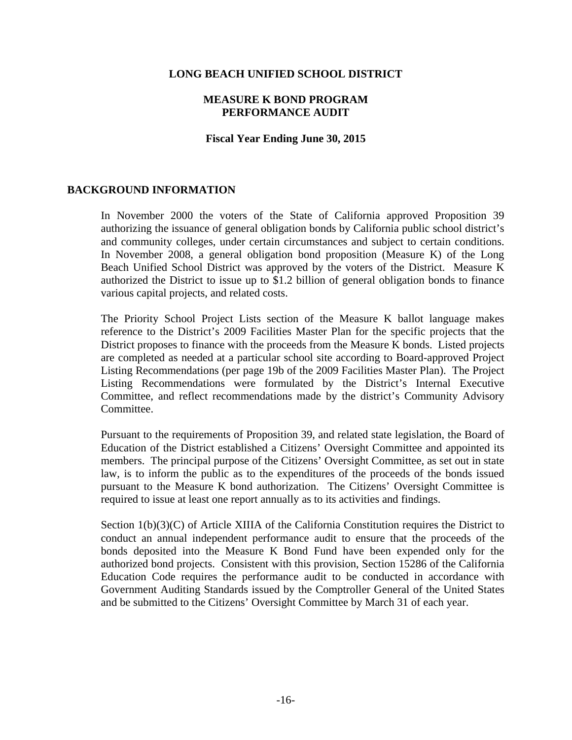#### **MEASURE K BOND PROGRAM PERFORMANCE AUDIT**

#### **Fiscal Year Ending June 30, 2015**

### **BACKGROUND INFORMATION**

In November 2000 the voters of the State of California approved Proposition 39 authorizing the issuance of general obligation bonds by California public school district's and community colleges, under certain circumstances and subject to certain conditions. In November 2008, a general obligation bond proposition (Measure K) of the Long Beach Unified School District was approved by the voters of the District. Measure K authorized the District to issue up to \$1.2 billion of general obligation bonds to finance various capital projects, and related costs.

The Priority School Project Lists section of the Measure K ballot language makes reference to the District's 2009 Facilities Master Plan for the specific projects that the District proposes to finance with the proceeds from the Measure K bonds. Listed projects are completed as needed at a particular school site according to Board-approved Project Listing Recommendations (per page 19b of the 2009 Facilities Master Plan). The Project Listing Recommendations were formulated by the District's Internal Executive Committee, and reflect recommendations made by the district's Community Advisory Committee.

Pursuant to the requirements of Proposition 39, and related state legislation, the Board of Education of the District established a Citizens' Oversight Committee and appointed its members. The principal purpose of the Citizens' Oversight Committee, as set out in state law, is to inform the public as to the expenditures of the proceeds of the bonds issued pursuant to the Measure K bond authorization. The Citizens' Oversight Committee is required to issue at least one report annually as to its activities and findings.

Section 1(b)(3)(C) of Article XIIIA of the California Constitution requires the District to conduct an annual independent performance audit to ensure that the proceeds of the bonds deposited into the Measure K Bond Fund have been expended only for the authorized bond projects. Consistent with this provision, Section 15286 of the California Education Code requires the performance audit to be conducted in accordance with Government Auditing Standards issued by the Comptroller General of the United States and be submitted to the Citizens' Oversight Committee by March 31 of each year.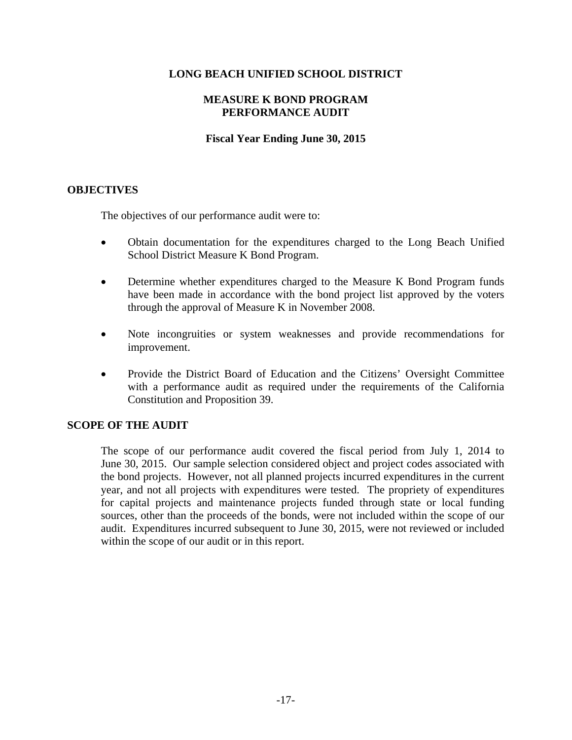## **MEASURE K BOND PROGRAM PERFORMANCE AUDIT**

### **Fiscal Year Ending June 30, 2015**

## **OBJECTIVES**

The objectives of our performance audit were to:

- Obtain documentation for the expenditures charged to the Long Beach Unified School District Measure K Bond Program.
- Determine whether expenditures charged to the Measure K Bond Program funds have been made in accordance with the bond project list approved by the voters through the approval of Measure K in November 2008.
- Note incongruities or system weaknesses and provide recommendations for improvement.
- Provide the District Board of Education and the Citizens' Oversight Committee with a performance audit as required under the requirements of the California Constitution and Proposition 39.

### **SCOPE OF THE AUDIT**

The scope of our performance audit covered the fiscal period from July 1, 2014 to June 30, 2015. Our sample selection considered object and project codes associated with the bond projects. However, not all planned projects incurred expenditures in the current year, and not all projects with expenditures were tested. The propriety of expenditures for capital projects and maintenance projects funded through state or local funding sources, other than the proceeds of the bonds, were not included within the scope of our audit. Expenditures incurred subsequent to June 30, 2015, were not reviewed or included within the scope of our audit or in this report.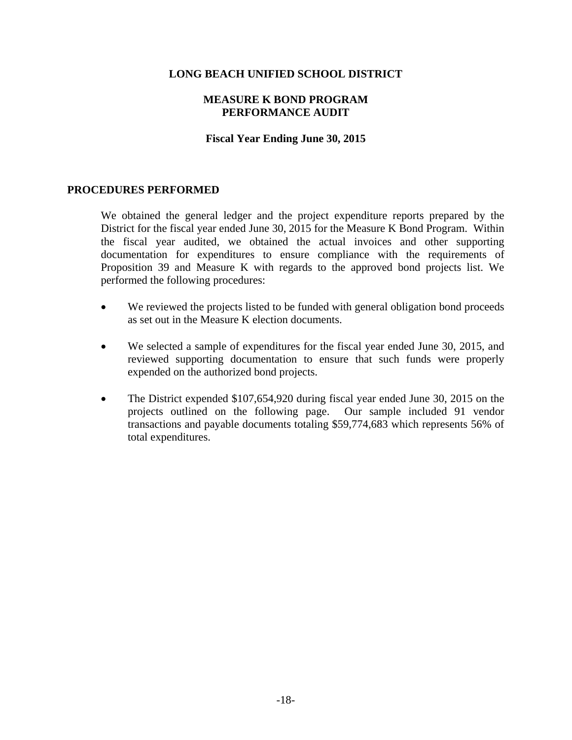#### **MEASURE K BOND PROGRAM PERFORMANCE AUDIT**

#### **Fiscal Year Ending June 30, 2015**

### **PROCEDURES PERFORMED**

We obtained the general ledger and the project expenditure reports prepared by the District for the fiscal year ended June 30, 2015 for the Measure K Bond Program. Within the fiscal year audited, we obtained the actual invoices and other supporting documentation for expenditures to ensure compliance with the requirements of Proposition 39 and Measure K with regards to the approved bond projects list. We performed the following procedures:

- We reviewed the projects listed to be funded with general obligation bond proceeds as set out in the Measure K election documents.
- We selected a sample of expenditures for the fiscal year ended June 30, 2015, and reviewed supporting documentation to ensure that such funds were properly expended on the authorized bond projects.
- The District expended \$107,654,920 during fiscal year ended June 30, 2015 on the projects outlined on the following page. Our sample included 91 vendor transactions and payable documents totaling \$59,774,683 which represents 56% of total expenditures.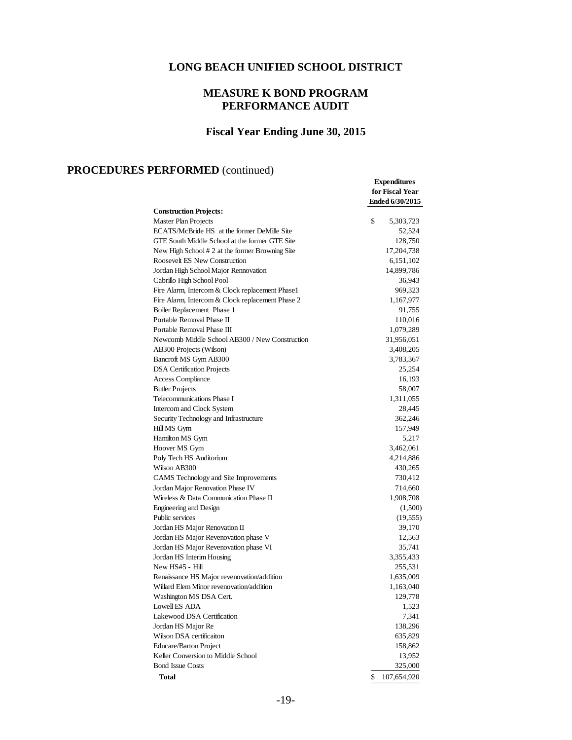# **MEASURE K BOND PROGRAM PERFORMANCE AUDIT**

# **Fiscal Year Ending June 30, 2015**

**Expenditures**

# **PROCEDURES PERFORMED** (continued)

|                                                  | for Fiscal Year<br>Ended 6/30/2015 |  |  |  |
|--------------------------------------------------|------------------------------------|--|--|--|
| <b>Construction Projects:</b>                    |                                    |  |  |  |
| <b>Master Plan Projects</b>                      | \$<br>5,303,723                    |  |  |  |
| ECATS/McBride HS at the former DeMille Site      | 52,524                             |  |  |  |
| GTE South Middle School at the former GTE Site   | 128,750                            |  |  |  |
| New High School # 2 at the former Browning Site  | 17,204,738                         |  |  |  |
| Roosevelt ES New Construction                    | 6,151,102                          |  |  |  |
| Jordan High School Major Rennovation             | 14,899,786                         |  |  |  |
| Cabrillo High School Pool                        | 36,943                             |  |  |  |
| Fire Alarm, Intercom & Clock replacement Phase1  | 969,323                            |  |  |  |
| Fire Alarm, Intercom & Clock replacement Phase 2 | 1,167,977                          |  |  |  |
| Boiler Replacement Phase 1                       | 91,755                             |  |  |  |
| Portable Removal Phase II                        | 110,016                            |  |  |  |
| Portable Removal Phase III                       | 1,079,289                          |  |  |  |
| Newcomb Middle School AB300 / New Construction   | 31,956,051                         |  |  |  |
| AB300 Projects (Wilson)                          | 3,408,205                          |  |  |  |
| Bancroft MS Gym AB300                            | 3,783,367                          |  |  |  |
| <b>DSA</b> Certification Projects                | 25,254                             |  |  |  |
| <b>Access Compliance</b>                         | 16,193                             |  |  |  |
| <b>Butler Projects</b>                           | 58,007                             |  |  |  |
| Telecommunications Phase I                       | 1,311,055                          |  |  |  |
| Intercom and Clock System                        | 28,445                             |  |  |  |
| Security Technology and Infrastructure           | 362,246                            |  |  |  |
| Hill MS Gym                                      | 157,949                            |  |  |  |
| Hamilton MS Gym                                  | 5,217                              |  |  |  |
| Hoover MS Gym                                    | 3,462,061                          |  |  |  |
| Poly Tech HS Auditorium                          | 4,214,886                          |  |  |  |
| Wilson AB300                                     | 430,265                            |  |  |  |
| CAMS Technology and Site Improvements            | 730,412                            |  |  |  |
| Jordan Major Renovation Phase IV                 | 714,660                            |  |  |  |
| Wireless & Data Communication Phase II           | 1,908,708                          |  |  |  |
| <b>Engineering and Design</b>                    | (1,500)                            |  |  |  |
| Public services                                  | (19, 555)                          |  |  |  |
| Jordan HS Major Renovation II                    | 39,170                             |  |  |  |
| Jordan HS Major Revenovation phase V             | 12,563                             |  |  |  |
| Jordan HS Major Revenovation phase VI            | 35,741                             |  |  |  |
| Jordan HS Interim Housing                        | 3,355,433                          |  |  |  |
| New HS#5 - Hill                                  | 255,531                            |  |  |  |
| Renaissance HS Major revenovation/addition       | 1,635,009                          |  |  |  |
| Willard Elem Minor revenovation/addition         | 1,163,040                          |  |  |  |
| Washington MS DSA Cert.                          | 129,778                            |  |  |  |
| Lowell ES ADA                                    | 1,523                              |  |  |  |
| Lakewood DSA Certification                       | 7,341                              |  |  |  |
| Jordan HS Major Re                               | 138,296                            |  |  |  |
| Wilson DSA certificaiton                         | 635,829                            |  |  |  |
| <b>Educare/Barton Project</b>                    | 158,862                            |  |  |  |
| Keller Conversion to Middle School               | 13,952                             |  |  |  |
| <b>Bond Issue Costs</b>                          | 325,000                            |  |  |  |
| <b>Total</b>                                     | \$<br>107,654,920                  |  |  |  |